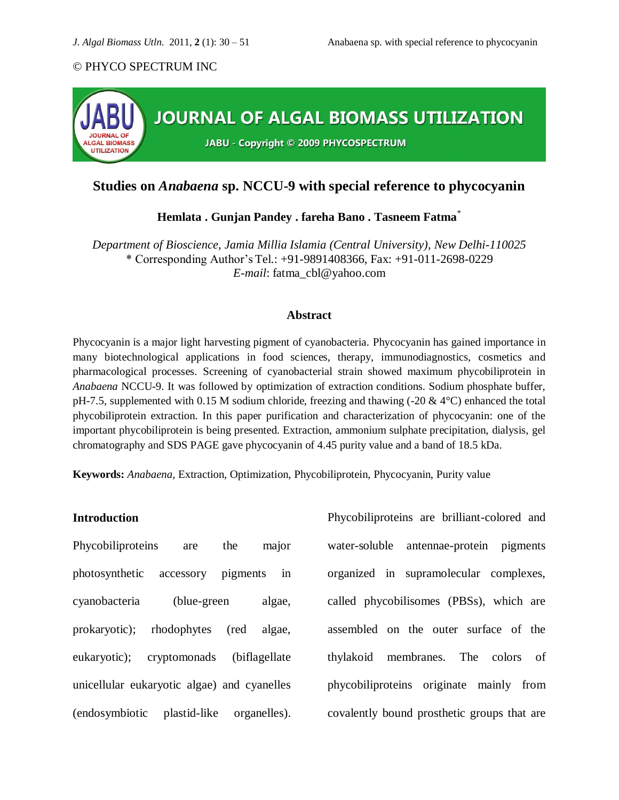

# **Studies on** *Anabaena* **sp. NCCU-9 with special reference to phycocyanin**

**Hemlata . Gunjan Pandey . fareha Bano . Tasneem Fatma**\*

*Department of Bioscience, Jamia Millia Islamia (Central University), New Delhi-110025* \* Corresponding Author's Tel.: +91-9891408366, Fax: +91-011-2698-0229 *E-mail*: [fatma\\_cbl@yahoo.com](mailto:fatma_cbl@yahoo.com)

#### **Abstract**

Phycocyanin is a major light harvesting pigment of cyanobacteria. Phycocyanin has gained importance in many biotechnological applications in food sciences, therapy, immunodiagnostics, cosmetics and pharmacological processes. Screening of cyanobacterial strain showed maximum phycobiliprotein in *Anabaena* NCCU-9. It was followed by optimization of extraction conditions. Sodium phosphate buffer, pH-7.5, supplemented with 0.15 M sodium chloride, freezing and thawing (-20  $\&$  4 $\degree$ C) enhanced the total phycobiliprotein extraction. In this paper purification and characterization of phycocyanin: one of the important phycobiliprotein is being presented. Extraction, ammonium sulphate precipitation, dialysis, gel chromatography and SDS PAGE gave phycocyanin of 4.45 purity value and a band of 18.5 kDa.

**Keywords:** *Anabaena,* Extraction, Optimization, Phycobiliprotein, Phycocyanin, Purity value

# **Introduction**

Phycobiliproteins are the major photosynthetic accessory pigments in cyanobacteria (blue-green algae, prokaryotic); rhodophytes (red algae, eukaryotic); cryptomonads (biflagellate unicellular eukaryotic algae) and cyanelles (endosymbiotic plastid-like organelles).

Phycobiliproteins are brilliant-colored and water-soluble antennae-protein pigments organized in supramolecular complexes, called phycobilisomes (PBSs), which are assembled on the outer surface of the thylakoid membranes. The colors of phycobiliproteins originate mainly from covalently bound prosthetic groups that are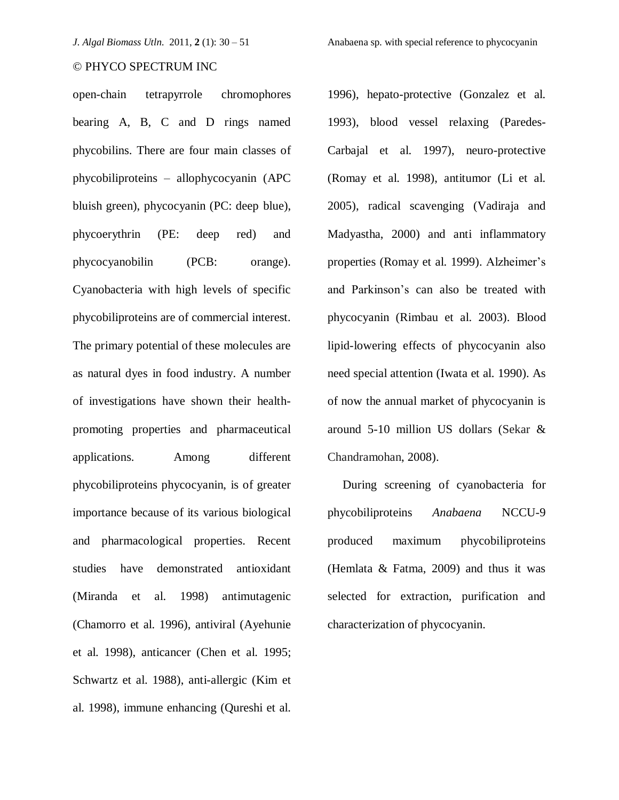open-chain tetrapyrrole chromophores bearing A, B, C and D rings named phycobilins. There are four main classes of phycobiliproteins – allophycocyanin (APC bluish green), phycocyanin (PC: deep blue), phycoerythrin (PE: deep red) and phycocyanobilin (PCB: orange). Cyanobacteria with high levels of specific phycobiliproteins are of commercial interest. The primary potential of these molecules are as natural dyes in food industry. A number of investigations have shown their healthpromoting properties and pharmaceutical applications. Among different phycobiliproteins phycocyanin, is of greater importance because of its various biological and pharmacological properties. Recent studies have demonstrated antioxidant (Miranda et al. 1998) antimutagenic (Chamorro et al. 1996), antiviral (Ayehunie et al. 1998), anticancer (Chen et al. 1995; Schwartz et al. 1988), anti-allergic (Kim et al. 1998), immune enhancing (Qureshi et al.

1996), hepato-protective (Gonzalez et al. 1993), blood vessel relaxing (Paredes-Carbajal et al. 1997), neuro-protective (Romay et al. 1998), antitumor (Li et al. 2005), radical scavenging (Vadiraja and Madyastha, 2000) and anti inflammatory properties (Romay et al. 1999). Alzheimer's and Parkinson's can also be treated with phycocyanin (Rimbau et al. 2003). Blood lipid-lowering effects of phycocyanin also need special attention (Iwata et al. 1990). As of now the annual market of phycocyanin is around 5-10 million US dollars (Sekar & Chandramohan, 2008).

 During screening of cyanobacteria for phycobiliproteins *Anabaena* NCCU-9 produced maximum phycobiliproteins (Hemlata & Fatma, 2009) and thus it was selected for extraction, purification and characterization of phycocyanin.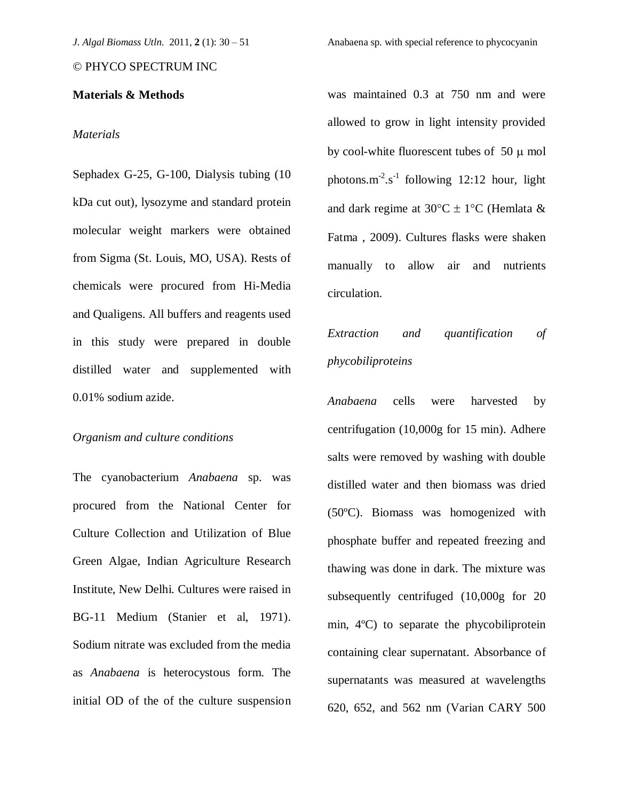# **Materials & Methods**

## *Materials*

Sephadex G-25, G-100, Dialysis tubing (10 kDa cut out), lysozyme and standard protein molecular weight markers were obtained from Sigma (St. Louis, MO, USA). Rests of chemicals were procured from Hi-Media and Qualigens. All buffers and reagents used in this study were prepared in double distilled water and supplemented with 0.01% sodium azide.

#### *Organism and culture conditions*

The cyanobacterium *Anabaena* sp. was procured from the National Center for Culture Collection and Utilization of Blue Green Algae, Indian Agriculture Research Institute, New Delhi. Cultures were raised in BG-11 Medium (Stanier et al, 1971). Sodium nitrate was excluded from the media as *Anabaena* is heterocystous form. The initial OD of the of the culture suspension was maintained 0.3 at 750 nm and were allowed to grow in light intensity provided by cool-white fluorescent tubes of 50  $\mu$  mol photons.m<sup>-2</sup>.s<sup>-1</sup> following 12:12 hour, light and dark regime at  $30^{\circ}$ C  $\pm$  1°C (Hemlata & Fatma , 2009). Cultures flasks were shaken manually to allow air and nutrients circulation.

# *Extraction and quantification of phycobiliproteins*

*Anabaena* cells were harvested by centrifugation (10,000g for 15 min). Adhere salts were removed by washing with double distilled water and then biomass was dried (50ºC). Biomass was homogenized with phosphate buffer and repeated freezing and thawing was done in dark. The mixture was subsequently centrifuged (10,000g for 20 min, 4ºC) to separate the phycobiliprotein containing clear supernatant. Absorbance of supernatants was measured at wavelengths 620, 652, and 562 nm (Varian CARY 500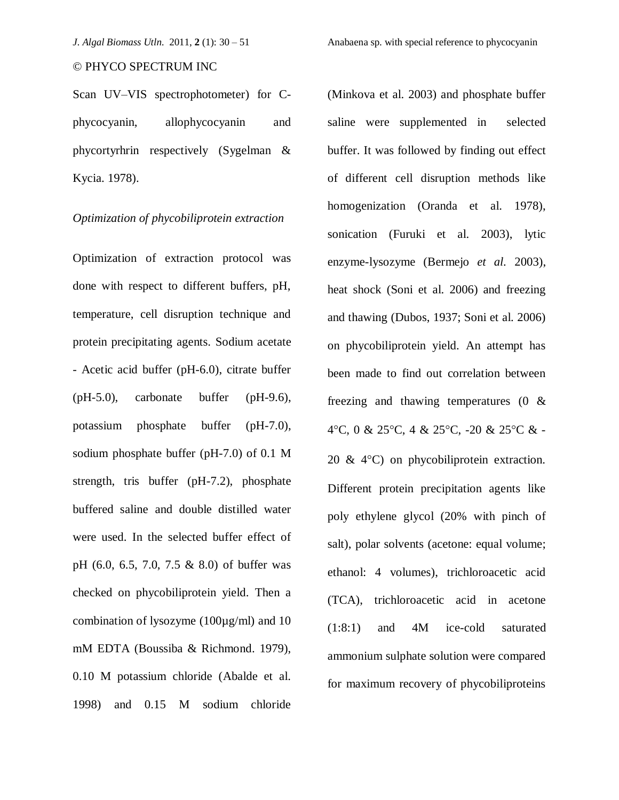Scan UV–VIS spectrophotometer) for Cphycocyanin, allophycocyanin and phycortyrhrin respectively (Sygelman & Kycia. 1978).

# *Optimization of phycobiliprotein extraction*

Optimization of extraction protocol was done with respect to different buffers, pH, temperature, cell disruption technique and protein precipitating agents. Sodium acetate - Acetic acid buffer (pH-6.0), citrate buffer (pH-5.0), carbonate buffer (pH-9.6), potassium phosphate buffer (pH-7.0), sodium phosphate buffer (pH-7.0) of 0.1 M strength, tris buffer (pH-7.2), phosphate buffered saline and double distilled water were used. In the selected buffer effect of pH (6.0, 6.5, 7.0, 7.5 & 8.0) of buffer was checked on phycobiliprotein yield. Then a combination of lysozyme (100µg/ml) and 10 mM EDTA (Boussiba & Richmond. 1979), 0.10 M potassium chloride (Abalde et al. 1998) and 0.15 M sodium chloride

(Minkova et al. 2003) and phosphate buffer saline were supplemented in selected buffer. It was followed by finding out effect of different cell disruption methods like homogenization (Oranda et al. 1978), sonication (Furuki et al. 2003), lytic enzyme-lysozyme (Bermejo *et al.* 2003), heat shock (Soni et al. 2006) and freezing and thawing (Dubos, 1937; Soni et al. 2006) on phycobiliprotein yield. An attempt has been made to find out correlation between freezing and thawing temperatures (0 & 4°C, 0 & 25°C, 4 & 25°C, -20 & 25°C & -20  $\&$  4 $\degree$ C) on phycobiliprotein extraction. Different protein precipitation agents like poly ethylene glycol (20% with pinch of salt), polar solvents (acetone: equal volume; ethanol: 4 volumes), trichloroacetic acid (TCA), trichloroacetic acid in acetone (1:8:1) and 4M ice-cold saturated ammonium sulphate solution were compared for maximum recovery of phycobiliproteins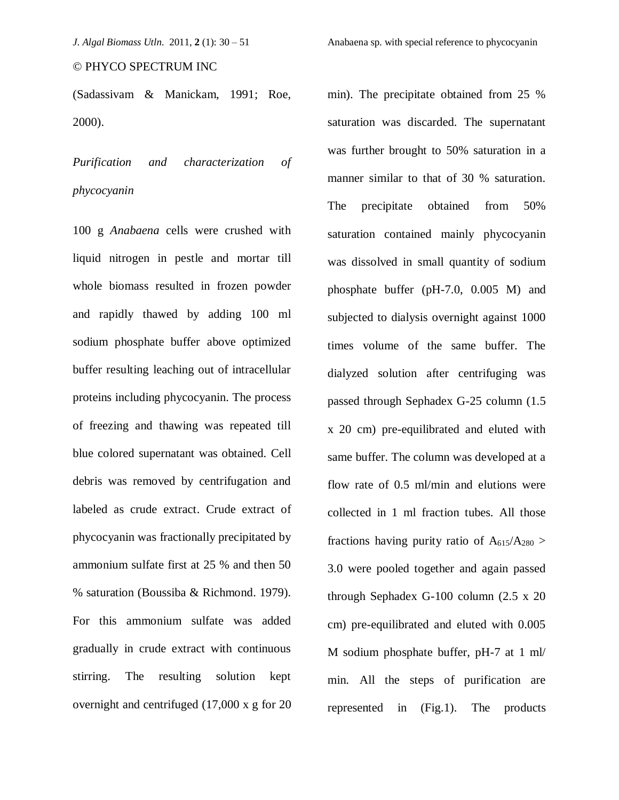(Sadassivam & Manickam, 1991; Roe, 2000).

*Purification and characterization of phycocyanin* 

100 g *Anabaena* cells were crushed with liquid nitrogen in pestle and mortar till whole biomass resulted in frozen powder and rapidly thawed by adding 100 ml sodium phosphate buffer above optimized buffer resulting leaching out of intracellular proteins including phycocyanin. The process of freezing and thawing was repeated till blue colored supernatant was obtained. Cell debris was removed by centrifugation and labeled as crude extract. Crude extract of phycocyanin was fractionally precipitated by ammonium sulfate first at 25 % and then 50 % saturation (Boussiba & Richmond. 1979). For this ammonium sulfate was added gradually in crude extract with continuous stirring. The resulting solution kept overnight and centrifuged (17,000 x g for 20

min). The precipitate obtained from 25 % saturation was discarded. The supernatant was further brought to 50% saturation in a manner similar to that of 30 % saturation. The precipitate obtained from 50% saturation contained mainly phycocyanin was dissolved in small quantity of sodium phosphate buffer (pH-7.0, 0.005 M) and subjected to dialysis overnight against 1000 times volume of the same buffer. The dialyzed solution after centrifuging was passed through Sephadex G-25 column (1.5 x 20 cm) pre-equilibrated and eluted with same buffer. The column was developed at a flow rate of 0.5 ml/min and elutions were collected in 1 ml fraction tubes. All those fractions having purity ratio of  $A_{615}/A_{280} >$ 3.0 were pooled together and again passed through Sephadex G-100 column (2.5 x 20 cm) pre-equilibrated and eluted with 0.005 M sodium phosphate buffer, pH-7 at 1 ml/ min. All the steps of purification are represented in (Fig.1). The products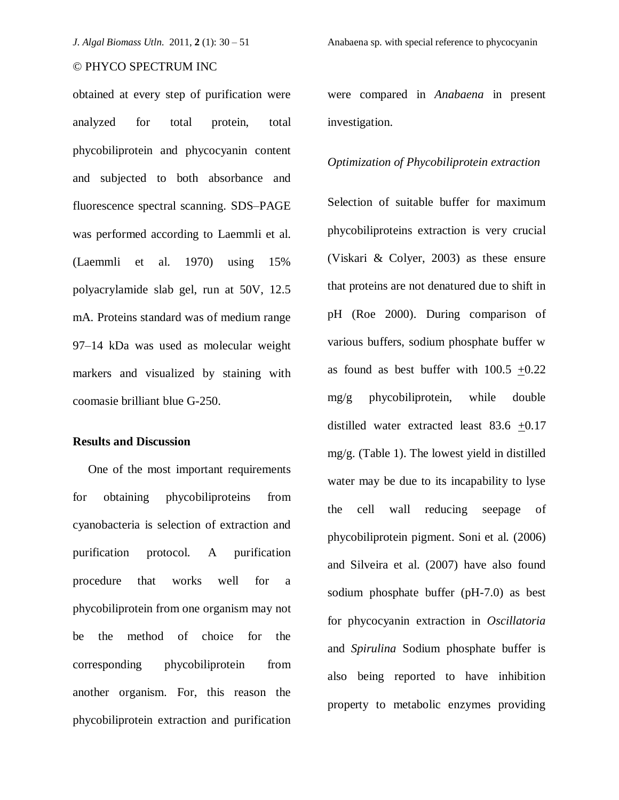obtained at every step of purification were analyzed for total protein, total phycobiliprotein and phycocyanin content and subjected to both absorbance and fluorescence spectral scanning. SDS–PAGE was performed according to Laemmli et al. (Laemmli et al. 1970) using 15% polyacrylamide slab gel, run at 50V, 12.5 mA. Proteins standard was of medium range 97–14 kDa was used as molecular weight markers and visualized by staining with coomasie brilliant blue G-250.

# **Results and Discussion**

 One of the most important requirements for obtaining phycobiliproteins from cyanobacteria is selection of extraction and purification protocol. A purification procedure that works well for a phycobiliprotein from one organism may not be the method of choice for the corresponding phycobiliprotein from another organism. For, this reason the phycobiliprotein extraction and purification were compared in *Anabaena* in present investigation.

#### *Optimization of Phycobiliprotein extraction*

Selection of suitable buffer for maximum phycobiliproteins extraction is very crucial (Viskari & Colyer, 2003) as these ensure that proteins are not denatured due to shift in pH (Roe 2000). During comparison of various buffers, sodium phosphate buffer w as found as best buffer with  $100.5 +0.22$ mg/g phycobiliprotein, while double distilled water extracted least 83.6 +0.17 mg/g. (Table 1). The lowest yield in distilled water may be due to its incapability to lyse the cell wall reducing seepage of phycobiliprotein pigment. Soni et al. (2006) and Silveira et al. (2007) have also found sodium phosphate buffer (pH-7.0) as best for phycocyanin extraction in *Oscillatoria* and *Spirulina* Sodium phosphate buffer is also being reported to have inhibition property to metabolic enzymes providing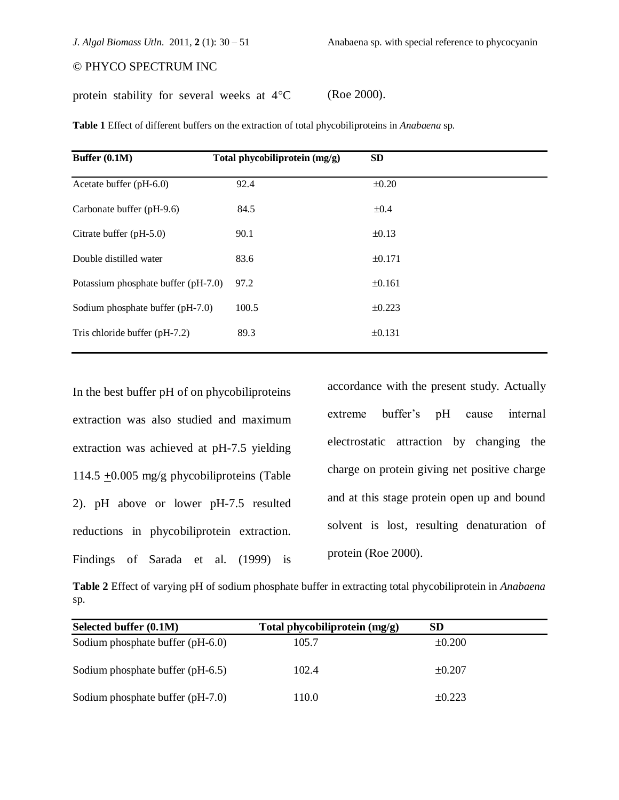protein stability for several weeks at  $4^{\circ}$ C (Roe 2000).

| Buffer (0.1M)                       | Total phycobiliprotein (mg/g) | <b>SD</b>   |  |
|-------------------------------------|-------------------------------|-------------|--|
| Acetate buffer (pH-6.0)             | 92.4                          | $\pm 0.20$  |  |
| Carbonate buffer (pH-9.6)           | 84.5                          | $\pm 0.4$   |  |
| Citrate buffer (pH-5.0)             | 90.1                          | $\pm 0.13$  |  |
| Double distilled water              | 83.6                          | ±0.171      |  |
| Potassium phosphate buffer (pH-7.0) | 97.2                          | ±0.161      |  |
| Sodium phosphate buffer (pH-7.0)    | 100.5                         | ±0.223      |  |
| Tris chloride buffer (pH-7.2)       | 89.3                          | $\pm 0.131$ |  |
|                                     |                               |             |  |

**Table 1** Effect of different buffers on the extraction of total phycobiliproteins in *Anabaena* sp*.*

In the best buffer pH of on phycobiliproteins extraction was also studied and maximum extraction was achieved at pH-7.5 yielding 114.5  $\pm$ 0.005 mg/g phycobiliproteins (Table 2). pH above or lower pH-7.5 resulted reductions in phycobiliprotein extraction. Findings of Sarada et al. (1999) is accordance with the present study. Actually extreme buffer's pH cause internal electrostatic attraction by changing the charge on protein giving net positive charge and at this stage protein open up and bound solvent is lost, resulting denaturation of protein (Roe 2000).

**Table 2** Effect of varying pH of sodium phosphate buffer in extracting total phycobiliprotein in *Anabaena* sp*.*

| Selected buffer (0.1M)           | Total phycobiliprotein (mg/g) | <b>SD</b>   |  |
|----------------------------------|-------------------------------|-------------|--|
| Sodium phosphate buffer (pH-6.0) | 105.7                         | $\pm 0.200$ |  |
| Sodium phosphate buffer (pH-6.5) | 102.4                         | $\pm 0.207$ |  |
| Sodium phosphate buffer (pH-7.0) | 110.0                         | $\pm 0.223$ |  |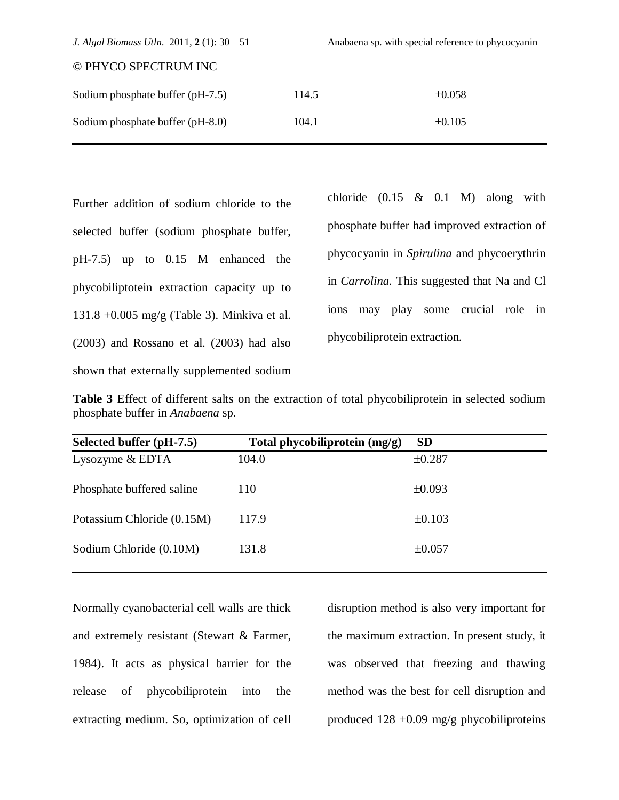| J. Algal Biomass Utln. 2011, $2(1)$ : 30 – 51 | Anabaena sp. with special reference to phycocyanin |             |
|-----------------------------------------------|----------------------------------------------------|-------------|
| © PHYCO SPECTRUM INC                          |                                                    |             |
| Sodium phosphate buffer (pH-7.5)              | 114.5                                              | $\pm 0.058$ |
| Sodium phosphate buffer (pH-8.0)              | 104.1                                              | $\pm 0.105$ |

Further addition of sodium chloride to the selected buffer (sodium phosphate buffer, pH-7.5) up to 0.15 M enhanced the phycobiliptotein extraction capacity up to 131.8  $\pm$ 0.005 mg/g (Table 3). Minkiva et al. (2003) and Rossano et al. (2003) had also shown that externally supplemented sodium chloride  $(0.15 \& 0.1 \quad M)$  along with phosphate buffer had improved extraction of phycocyanin in *Spirulina* and phycoerythrin in *Carrolina.* This suggested that Na and Cl ions may play some crucial role in phycobiliprotein extraction.

**Table 3** Effect of different salts on the extraction of total phycobiliprotein in selected sodium phosphate buffer in *Anabaena* sp.

| Selected buffer (pH-7.5)   | Total phycobiliprotein (mg/g) | <b>SD</b>   |
|----------------------------|-------------------------------|-------------|
| Lysozyme & EDTA            | 104.0                         | ±0.287      |
| Phosphate buffered saline  | 110                           | $\pm 0.093$ |
| Potassium Chloride (0.15M) | 117.9                         | ±0.103      |
| Sodium Chloride (0.10M)    | 131.8                         | ±0.057      |

Normally cyanobacterial cell walls are thick and extremely resistant (Stewart & Farmer, 1984). It acts as physical barrier for the release of phycobiliprotein into the extracting medium. So, optimization of cell disruption method is also very important for the maximum extraction. In present study, it was observed that freezing and thawing method was the best for cell disruption and produced  $128 \pm 0.09$  mg/g phycobiliproteins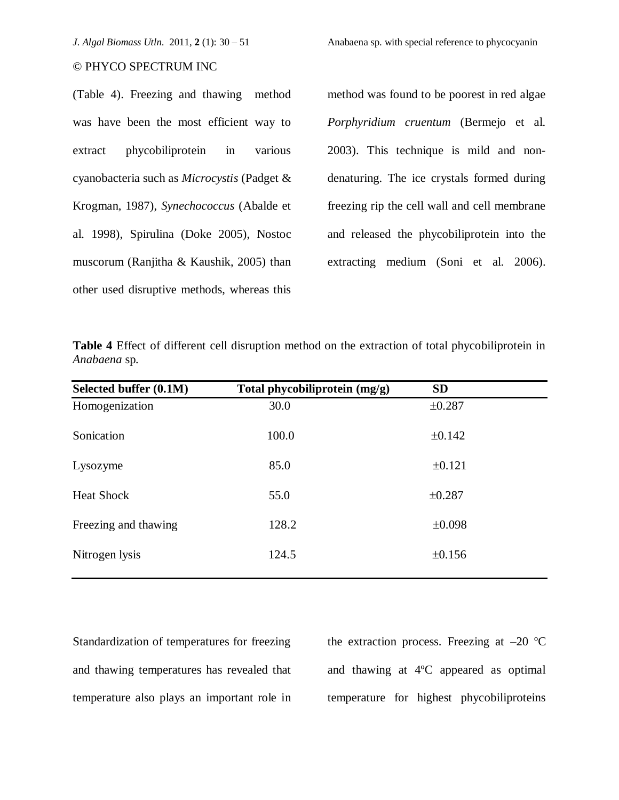(Table 4). Freezing and thawing method was have been the most efficient way to extract phycobiliprotein in various cyanobacteria such as *Microcystis* (Padget & Krogman, 1987), *Synechococcus* (Abalde et al. 1998), Spirulina (Doke 2005), Nostoc muscorum (Ranjitha & Kaushik, 2005) than other used disruptive methods, whereas this method was found to be poorest in red algae *Porphyridium cruentum* (Bermejo et al. 2003). This technique is mild and nondenaturing. The ice crystals formed during freezing rip the cell wall and cell membrane and released the phycobiliprotein into the extracting medium (Soni et al. 2006).

|              |  |  | Table 4 Effect of different cell disruption method on the extraction of total phycobiliprotein in |  |  |  |  |  |
|--------------|--|--|---------------------------------------------------------------------------------------------------|--|--|--|--|--|
| Anabaena sp. |  |  |                                                                                                   |  |  |  |  |  |

| Selected buffer (0.1M) | Total phycobiliprotein (mg/g) | <b>SD</b>   |  |
|------------------------|-------------------------------|-------------|--|
| Homogenization         | 30.0                          | ±0.287      |  |
| Sonication             | 100.0                         | ±0.142      |  |
| Lysozyme               | 85.0                          | ±0.121      |  |
| <b>Heat Shock</b>      | 55.0                          | ±0.287      |  |
| Freezing and thawing   | 128.2                         | $\pm 0.098$ |  |
| Nitrogen lysis         | 124.5                         | ±0.156      |  |

Standardization of temperatures for freezing and thawing temperatures has revealed that temperature also plays an important role in the extraction process. Freezing at  $-20$  °C and thawing at 4ºC appeared as optimal temperature for highest phycobiliproteins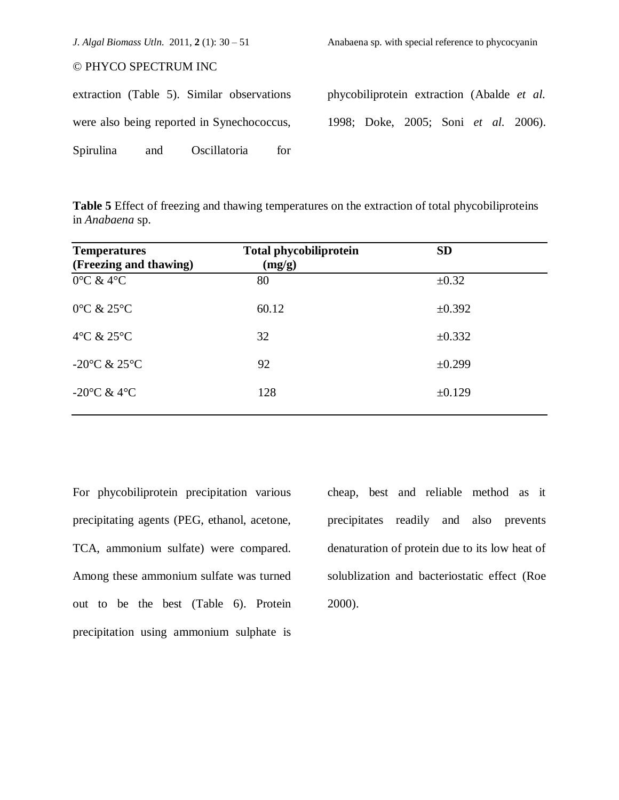|                      |     | J. Algal Biomass Utln. 2011, $2(1)$ : 30 – 51 |     | Anabaena sp. with special reference to phycocyanin |  |  |  |
|----------------------|-----|-----------------------------------------------|-----|----------------------------------------------------|--|--|--|
| © PHYCO SPECTRUM INC |     |                                               |     |                                                    |  |  |  |
|                      |     | extraction (Table 5). Similar observations    |     | phycobiliprotein extraction (Abalde et al.         |  |  |  |
|                      |     | were also being reported in Synechococcus,    |     | 1998; Doke, 2005; Soni et al. 2006).               |  |  |  |
| Spirulina            | and | Oscillatoria                                  | for |                                                    |  |  |  |

**Table 5** Effect of freezing and thawing temperatures on the extraction of total phycobiliproteins in *Anabaena* sp.

| <b>Temperatures</b><br>(Freezing and thawing) | <b>Total phycobiliprotein</b><br>(mg/g) | <b>SD</b>  |
|-----------------------------------------------|-----------------------------------------|------------|
| $0^{\circ}$ C & 4 $^{\circ}$ C                | 80                                      | $\pm 0.32$ |
| $0^{\circ}$ C & 25 $^{\circ}$ C               | 60.12                                   | ±0.392     |
| $4^{\circ}$ C & $25^{\circ}$ C                | 32                                      | ±0.332     |
| -20 $\rm{^{\circ}C}$ & 25 $\rm{^{\circ}C}$    | 92                                      | ±0.299     |
| $-20^{\circ}$ C & 4 $^{\circ}$ C              | 128                                     | ±0.129     |

For phycobiliprotein precipitation various precipitating agents (PEG, ethanol, acetone, TCA, ammonium sulfate) were compared. Among these ammonium sulfate was turned out to be the best (Table 6). Protein precipitation using ammonium sulphate is

cheap, best and reliable method as it precipitates readily and also prevents denaturation of protein due to its low heat of solublization and bacteriostatic effect (Roe 2000).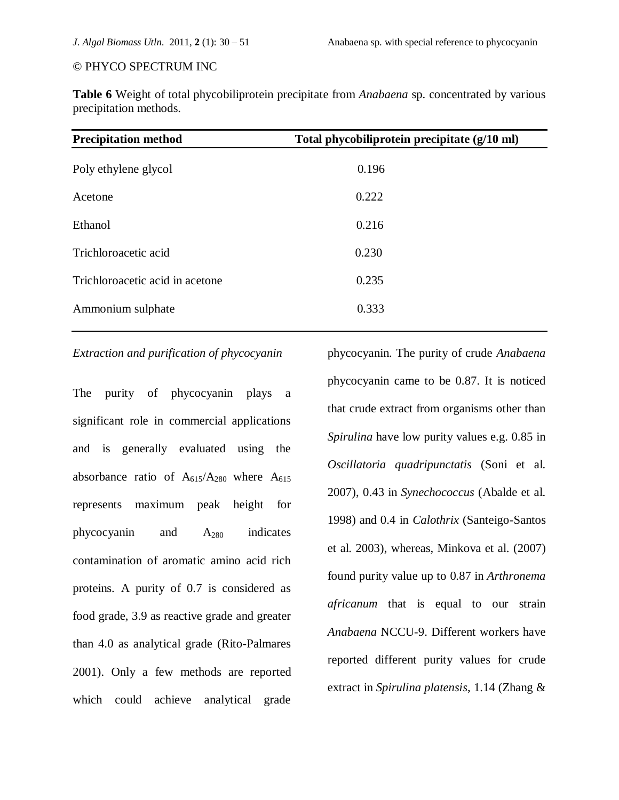**Table 6** Weight of total phycobiliprotein precipitate from *Anabaena* sp. concentrated by various precipitation methods.

| <b>Precipitation method</b>     | Total phycobiliprotein precipitate (g/10 ml) |
|---------------------------------|----------------------------------------------|
| Poly ethylene glycol            | 0.196                                        |
| Acetone                         | 0.222                                        |
| Ethanol                         | 0.216                                        |
| Trichloroacetic acid            | 0.230                                        |
| Trichloroacetic acid in acetone | 0.235                                        |
| Ammonium sulphate               | 0.333                                        |
|                                 |                                              |

# *Extraction and purification of phycocyanin*

The purity of phycocyanin plays a significant role in commercial applications and is generally evaluated using the absorbance ratio of  $A_{615}/A_{280}$  where  $A_{615}$ represents maximum peak height for phycocyanin and A<sup>280</sup> indicates contamination of aromatic amino acid rich proteins. A purity of 0.7 is considered as food grade, 3.9 as reactive grade and greater than 4.0 as analytical grade (Rito-Palmares 2001). Only a few methods are reported which could achieve analytical grade

phycocyanin. The purity of crude *Anabaena* phycocyanin came to be 0.87. It is noticed that crude extract from organisms other than *Spirulina* have low purity values e.g. 0.85 in *Oscillatoria quadripunctatis* (Soni et al. 2007), 0.43 in *Synechococcus* (Abalde et al. 1998) and 0.4 in *Calothrix* (Santeigo-Santos et al. 2003), whereas, Minkova et al. (2007) found purity value up to 0.87 in *Arthronema africanum* that is equal to our strain *Anabaena* NCCU-9. Different workers have reported different purity values for crude extract in *Spirulina platensis*, 1.14 (Zhang &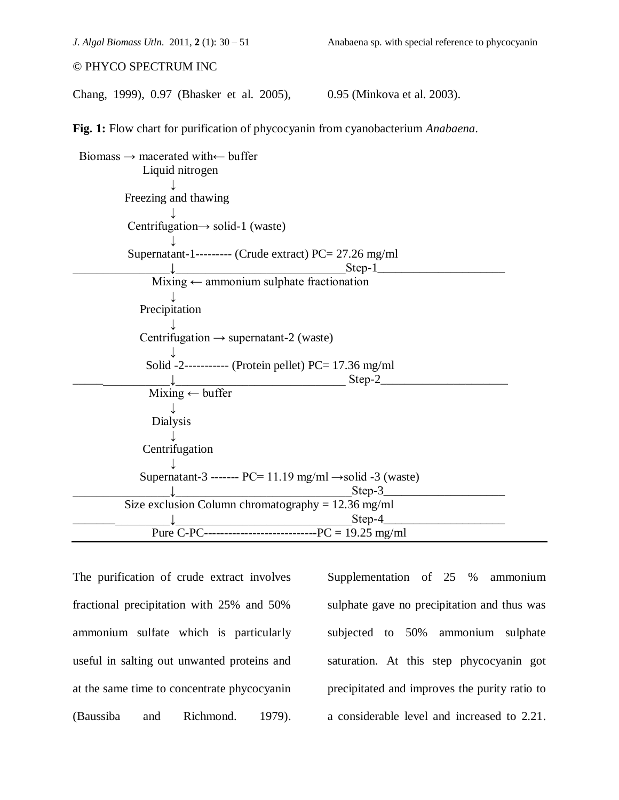Chang, 1999), 0.97 (Bhasker et al. 2005), 0.95 (Minkova et al. 2003).

**Fig. 1:** Flow chart for purification of phycocyanin from cyanobacterium *Anabaena*.

 Biomass → macerated with← buffer Liquid nitrogen ↓ Freezing and thawing ↓ Centrifugation $\rightarrow$  solid-1 (waste) ↓ Supernatant-1--------- (Crude extract)  $PC = 27.26$  mg/ml  $\downarrow$   $\qquad \qquad$   $\qquad \qquad$   $\qquad$   $\qquad$   $\qquad$   $\qquad$   $\qquad$   $\qquad$   $\qquad$   $\qquad$   $\qquad$   $\qquad$   $\qquad$   $\qquad$   $\qquad$   $\qquad$   $\qquad$   $\qquad$   $\qquad$   $\qquad$   $\qquad$   $\qquad$   $\qquad$   $\qquad$   $\qquad$   $\qquad$   $\qquad$   $\qquad$   $\qquad$   $\qquad$   $\qquad$   $\qquad$   $\qquad$   $\qquad$   $\qquad$  $Mixing \leftarrow$  ammonium sulphate fractionation ↓ Precipitation ↓ Centrifugation  $\rightarrow$  supernatant-2 (waste) ↓ Solid  $-2$ ------------ (Protein pellet) PC= 17.36 mg/ml  $Step-2$  $Mixing \leftarrow buffer$  ↓ Dialysis ↓ Centrifugation ↓ Supernatant-3 -------  $PC= 11.19$  mg/ml  $\rightarrow$ solid -3 (waste)  $\downarrow$   $\text{Step-3}$ Size exclusion Column chromatography =  $12.36$  mg/ml \_\_\_\_\_\_\_\_\_\_\_\_\_\_\_\_↓\_\_\_\_\_\_\_\_\_\_\_\_\_\_\_\_\_\_\_\_\_\_\_\_\_\_\_\_\_Step-4\_\_\_\_\_\_\_\_\_\_\_\_\_\_\_\_\_\_\_\_ Pure C-PC----------------------------PC = 19.25 mg/ml

The purification of crude extract involves fractional precipitation with 25% and 50% ammonium sulfate which is particularly useful in salting out unwanted proteins and at the same time to concentrate phycocyanin (Baussiba and Richmond. 1979).

Supplementation of 25 % ammonium sulphate gave no precipitation and thus was subjected to 50% ammonium sulphate saturation. At this step phycocyanin got precipitated and improves the purity ratio to a considerable level and increased to 2.21.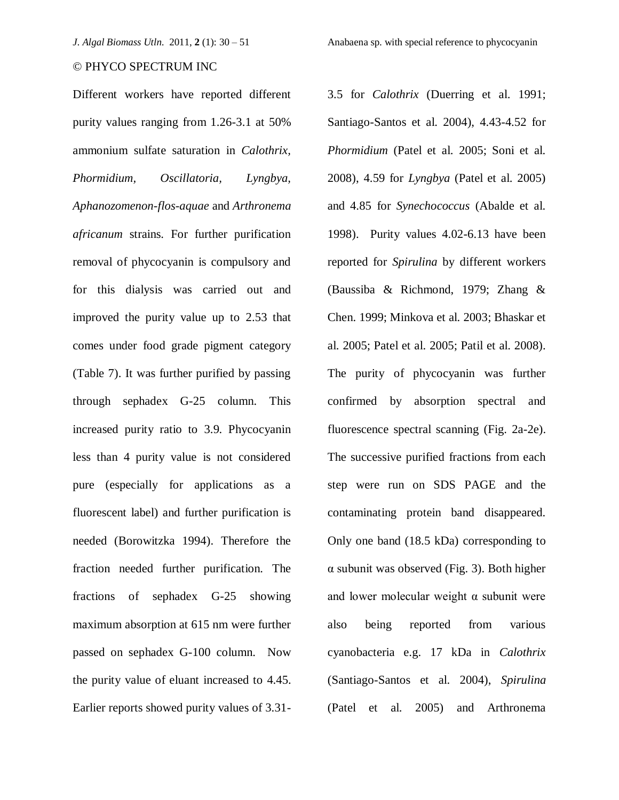Different workers have reported different purity values ranging from 1.26-3.1 at 50% ammonium sulfate saturation in *Calothrix, Phormidium, Oscillatoria, Lyngbya, Aphanozomenon-flos-aquae* and *Arthronema africanum* strains. For further purification removal of phycocyanin is compulsory and for this dialysis was carried out and improved the purity value up to 2.53 that comes under food grade pigment category (Table 7). It was further purified by passing through sephadex G-25 column. This increased purity ratio to 3.9. Phycocyanin less than 4 purity value is not considered pure (especially for applications as a fluorescent label) and further purification is needed (Borowitzka 1994). Therefore the fraction needed further purification. The fractions of sephadex G-25 showing maximum absorption at 615 nm were further passed on sephadex G-100 column. Now the purity value of eluant increased to 4.45. Earlier reports showed purity values of 3.313.5 for *Calothrix* (Duerring et al. 1991; Santiago-Santos et al. 2004), 4.43-4.52 for *Phormidium* (Patel et al. 2005; Soni et al. 2008), 4.59 for *Lyngbya* (Patel et al. 2005) and 4.85 for *Synechococcus* (Abalde et al. 1998). Purity values 4.02-6.13 have been reported for *Spirulina* by different workers (Baussiba & Richmond, 1979; Zhang & Chen. 1999; Minkova et al. 2003; Bhaskar et al. 2005; Patel et al. 2005; Patil et al. 2008). The purity of phycocyanin was further confirmed by absorption spectral and fluorescence spectral scanning (Fig. 2a-2e). The successive purified fractions from each step were run on SDS PAGE and the contaminating protein band disappeared. Only one band (18.5 kDa) corresponding to α subunit was observed (Fig. 3). Both higher and lower molecular weight  $\alpha$  subunit were also being reported from various cyanobacteria e.g. 17 kDa in *Calothrix* (Santiago-Santos et al. 2004), *Spirulina* (Patel et al. 2005) and Arthronema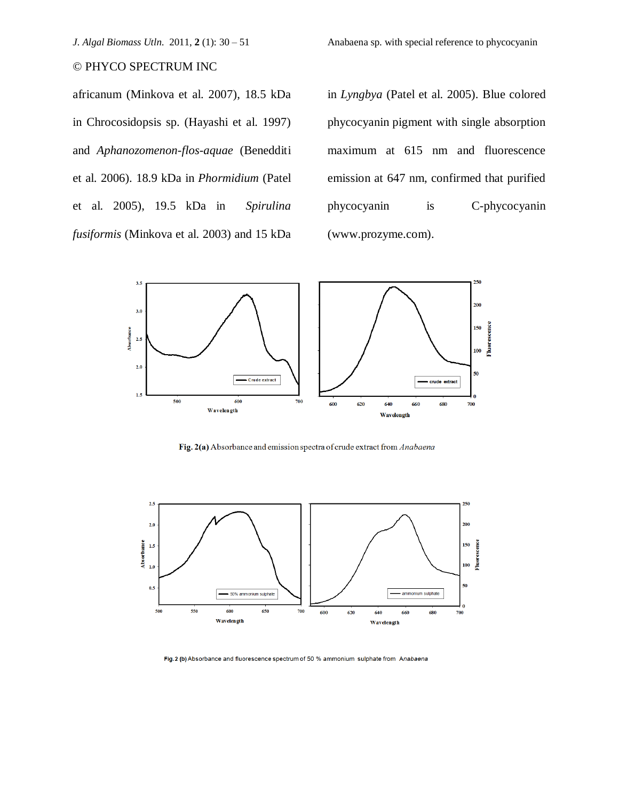*J. Algal Biomass Utln.* 2011, **2** (1): 30 – 51 Anabaena sp. with special reference to phycocyanin

# © PHYCO SPECTRUM INC

africanum (Minkova et al. 2007), 18.5 kDa in Chrocosidopsis sp. (Hayashi et al. 1997) and *Aphanozomenon-flos-aquae* (Benedditi et al. 2006). 18.9 kDa in *Phormidium* (Patel et al. 2005), 19.5 kDa in *Spirulina fusiformis* (Minkova et al. 2003) and 15 kDa

in *Lyngbya* (Patel et al. 2005). Blue colored phycocyanin pigment with single absorption maximum at 615 nm and fluorescence emission at 647 nm, confirmed that purified phycocyanin is C-phycocyanin (www.prozyme.com).



Fig. 2(a) Absorbance and emission spectra of crude extract from Anabaena



Fig. 2 (b) Absorbance and fluorescence spectrum of 50 % ammonium sulphate from Anabaena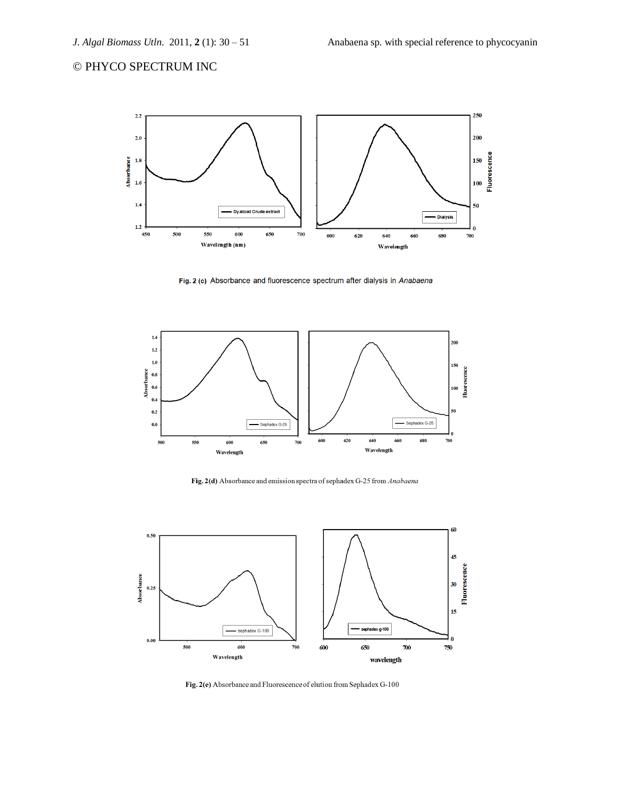

Fig. 2 (c) Absorbance and fluorescence spectrum after dialysis in Anabaena



Fig. 2(d) Absorbance and emission spectra of sephadex G-25 from Anabaena



Fig. 2(e) Absorbance and Fluorescence of elution from Sephadex G-100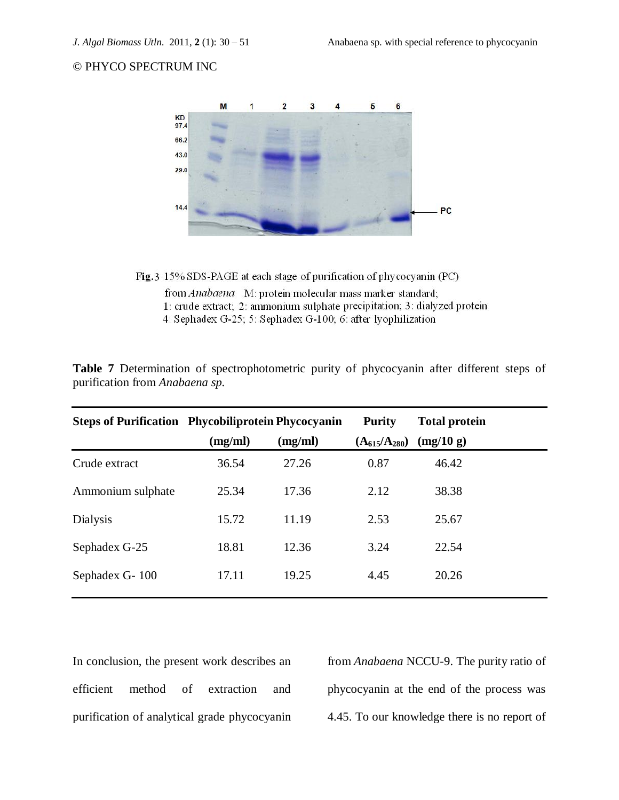

Fig. 3 15% SDS-PAGE at each stage of purification of phycocyanin (PC)

from Anabaena M: protein molecular mass marker standard; 1: crude extract; 2: ammonium sulphate precipitation; 3: dialyzed protein 4: Sephadex G-25; 5: Sephadex G-100; 6: after lyophilization

**Table 7** Determination of spectrophotometric purity of phycocyanin after different steps of purification from *Anabaena sp.*

| <b>Steps of Purification Phycobiliprotein Phycocyanin</b> |         |         | <b>Purity</b>       | <b>Total protein</b> |
|-----------------------------------------------------------|---------|---------|---------------------|----------------------|
|                                                           | (mg/ml) | (mg/ml) | $(A_{615}/A_{280})$ | (mg/10 g)            |
| Crude extract                                             | 36.54   | 27.26   | 0.87                | 46.42                |
| Ammonium sulphate                                         | 25.34   | 17.36   | 2.12                | 38.38                |
| <b>Dialysis</b>                                           | 15.72   | 11.19   | 2.53                | 25.67                |
| Sephadex G-25                                             | 18.81   | 12.36   | 3.24                | 22.54                |
| Sephadex G-100                                            | 17.11   | 19.25   | 4.45                | 20.26                |
|                                                           |         |         |                     |                      |

In conclusion, the present work describes an efficient method of extraction and purification of analytical grade phycocyanin from *Anabaena* NCCU-9. The purity ratio of phycocyanin at the end of the process was 4.45. To our knowledge there is no report of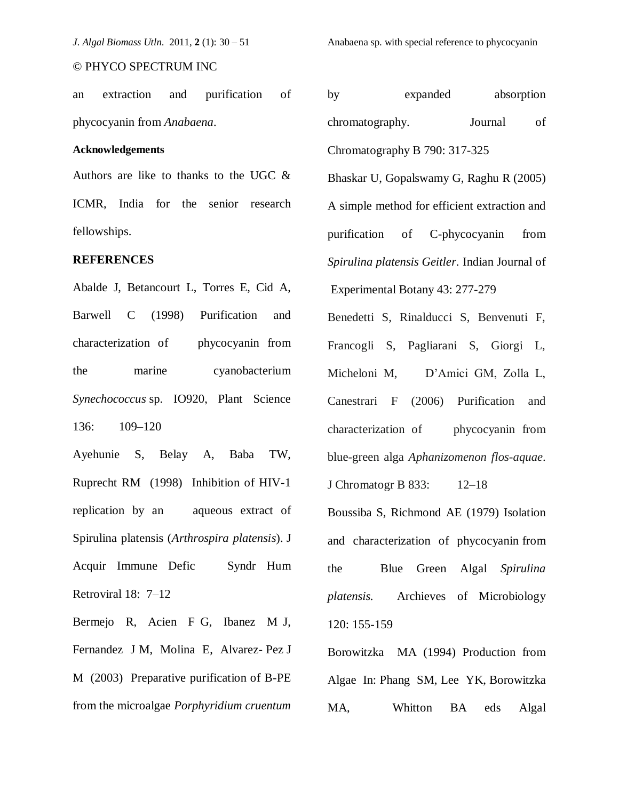an extraction and purification of phycocyanin from *Anabaena*.

#### **Acknowledgements**

Authors are like to thanks to the UGC & ICMR, India for the senior research fellowships.

#### **REFERENCES**

Abalde J, Betancourt L, Torres E, Cid A, Barwell C (1998) Purification and characterization of phycocyanin from the marine cyanobacterium *Synechococcus* sp. IO920, Plant Science 136: 109–120

Ayehunie S, Belay A, Baba TW, Ruprecht RM (1998) Inhibition of HIV-1 replication by an aqueous extract of Spirulina platensis (*Arthrospira platensis*). J Acquir Immune Defic Syndr Hum Retroviral 18: 7–12

Bermejo R, Acien F G, Ibanez M J, Fernandez J M, Molina E, Alvarez- Pez J M (2003) Preparative purification of B-PE from the microalgae *Porphyridium cruentum* 

*J. Algal Biomass Utln.* 2011, **2** (1): 30 – 51 Anabaena sp. with special reference to phycocyanin

by expanded absorption chromatography. Journal of Chromatography B 790: 317-325

Bhaskar U, Gopalswamy G, Raghu R (2005) A simple method for efficient extraction and purification of C-phycocyanin from *Spirulina platensis Geitler.* Indian Journal of Experimental Botany 43: 277-279

Benedetti S, Rinalducci S, Benvenuti F, Francogli S, Pagliarani S, Giorgi L, Micheloni M, D'Amici GM, Zolla L, Canestrari F (2006) Purification and characterization of phycocyanin from blue-green alga *Aphanizomenon flos-aquae*.

J Chromatogr B 833: 12–18

Boussiba S, Richmond AE (1979) Isolation and characterization of phycocyanin from the Blue Green Algal *Spirulina platensis.* Archieves of Microbiology 120: 155-159

Borowitzka MA (1994) Production from Algae In: Phang SM, Lee YK, Borowitzka MA, Whitton BA eds Algal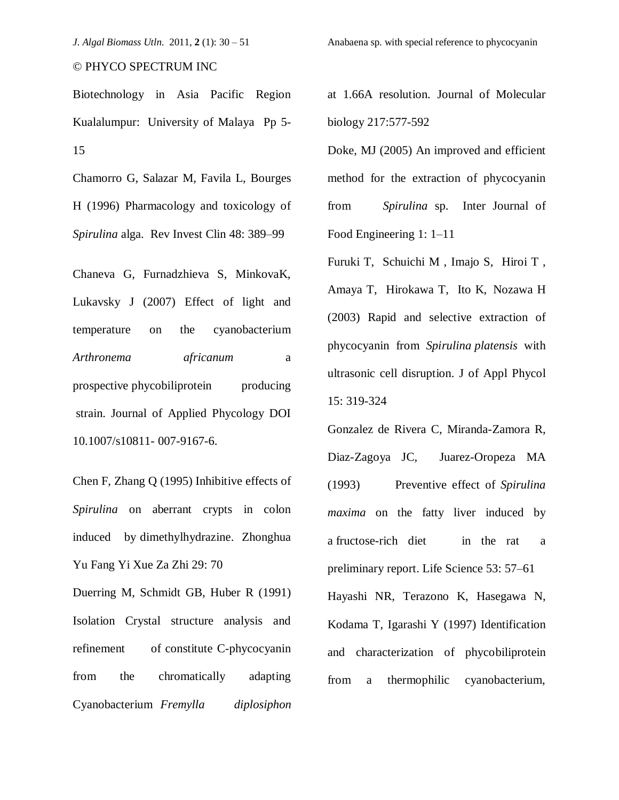Biotechnology in Asia Pacific Region Kualalumpur: University of Malaya Pp 5- 15

Chamorro G, Salazar M, Favila L, Bourges H (1996) Pharmacology and toxicology of *Spirulina* alga. Rev Invest Clin 48: 389–99

Chaneva G, Furnadzhieva S, MinkovaK, Lukavsky J (2007) Effect of light and temperature on the cyanobacterium *Arthronema africanum* a prospective phycobiliprotein producing strain. Journal of Applied Phycology DOI 10.1007/s10811- 007-9167-6.

Chen F, Zhang Q (1995) Inhibitive effects of *Spirulina* on aberrant crypts in colon induced by dimethylhydrazine. Zhonghua Yu Fang Yi Xue Za Zhi 29: 70

Duerring M, Schmidt GB, Huber R (1991) Isolation Crystal structure analysis and refinement of constitute C-phycocyanin from the chromatically adapting Cyanobacterium *Fremylla diplosiphon* at 1.66A resolution. Journal of Molecular biology 217:577-592

Doke, MJ (2005) An improved and efficient method for the extraction of phycocyanin from *Spirulina* sp. Inter Journal of Food Engineering 1: 1–11

Furuki T, Schuichi M , Imajo S, Hiroi T , Amaya T, Hirokawa T, Ito K, Nozawa H (2003) Rapid and selective extraction of phycocyanin from *Spirulina platensis* with ultrasonic cell disruption. J of Appl Phycol 15: 319-324

Gonzalez de Rivera C, Miranda-Zamora R, Diaz-Zagoya JC, Juarez-Oropeza MA (1993) Preventive effect of *Spirulina maxima* on the fatty liver induced by a fructose-rich diet in the rat a preliminary report. Life Science 53: 57–61

Hayashi NR, Terazono K, Hasegawa N, Kodama T, Igarashi Y (1997) Identification and characterization of phycobiliprotein from a thermophilic cyanobacterium,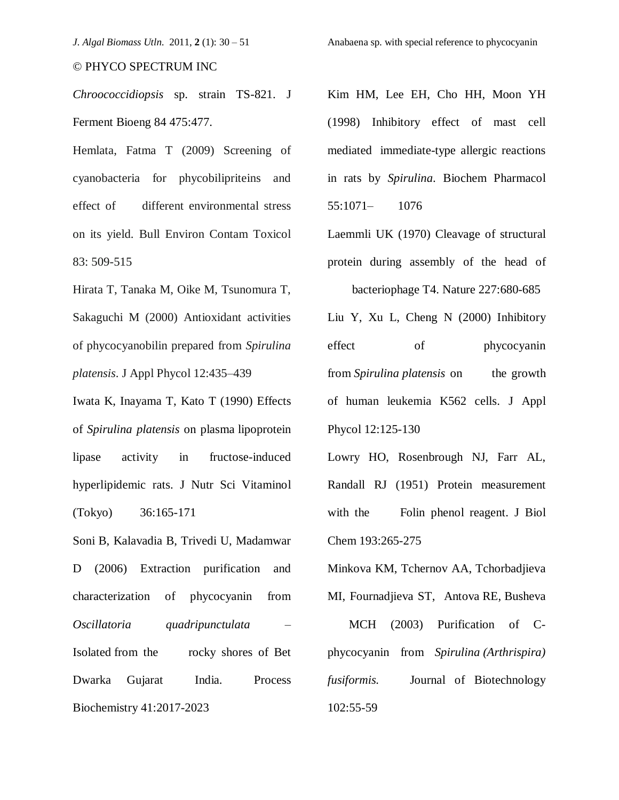*Chroococcidiopsis* sp. strain TS-821. J Ferment Bioeng 84 475:477.

Hemlata, Fatma T (2009) Screening of cyanobacteria for phycobilipriteins and effect of different environmental stress on its yield. Bull Environ Contam Toxicol 83: 509-515

Hirata T, Tanaka M, Oike M, Tsunomura T, Sakaguchi M (2000) Antioxidant activities of phycocyanobilin prepared from *Spirulina platensis*. J Appl Phycol 12:435–439

Iwata K, Inayama T, Kato T (1990) Effects of *Spirulina platensis* on plasma lipoprotein lipase activity in fructose-induced hyperlipidemic rats. J Nutr Sci Vitaminol (Tokyo) 36:165-171

Soni B, Kalavadia B, Trivedi U, Madamwar D (2006) Extraction purification and characterization of phycocyanin from *Oscillatoria quadripunctulata* – Isolated from the rocky shores of Bet Dwarka Gujarat India. Process Biochemistry 41:2017-2023

Kim HM, Lee EH, Cho HH, Moon YH (1998) Inhibitory effect of mast cell mediated immediate-type allergic reactions in rats by *Spirulina*. Biochem Pharmacol 55:1071– 1076

Laemmli UK (1970) Cleavage of structural protein during assembly of the head of

bacteriophage T4. Nature 227:680-685

Liu Y, Xu L, Cheng N (2000) Inhibitory effect of phycocyanin from *Spirulina platensis* on the growth of human leukemia K562 cells. J Appl Phycol 12:125-130

Lowry HO, Rosenbrough NJ, Farr AL, Randall RJ (1951) Protein measurement with the Folin phenol reagent. J Biol Chem 193:265-275

Minkova KM, Tchernov AA, Tchorbadjieva MI, Fournadjieva ST, Antova RE, Busheva

 MCH (2003) Purification of Cphycocyanin from *Spirulina (Arthrispira) fusiformis.* Journal of Biotechnology 102:55-59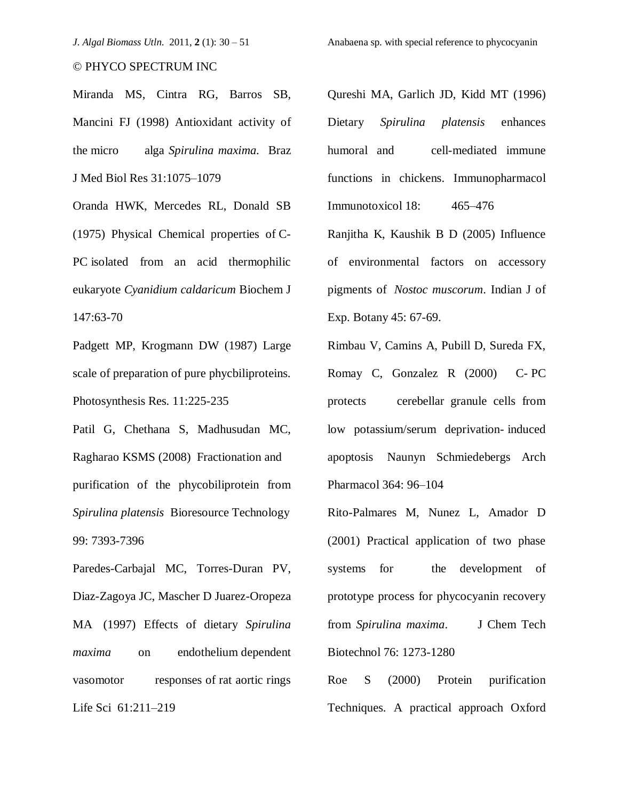Miranda MS, Cintra RG, Barros SB, Mancini FJ (1998) Antioxidant activity of the micro alga *Spirulina maxima.* Braz J Med Biol Res 31:1075–1079

Oranda HWK, Mercedes RL, Donald SB (1975) Physical Chemical properties of C-PC isolated from an acid thermophilic eukaryote *Cyanidium caldaricum* Biochem J 147:63-70

Padgett MP, Krogmann DW (1987) Large scale of preparation of pure phycbiliproteins. Photosynthesis Res. 11:225-235

Patil G, Chethana S, Madhusudan MC, Ragharao KSMS (2008) Fractionation and purification of the phycobiliprotein from *Spirulina platensis* Bioresource Technology 99: 7393-7396

Paredes-Carbajal MC, Torres-Duran PV, Diaz-Zagoya JC, Mascher D Juarez-Oropeza MA (1997) Effects of dietary *Spirulina maxima* on endothelium dependent vasomotor responses of rat aortic rings Life Sci 61:211–219

Qureshi MA, Garlich JD, Kidd MT (1996) Dietary *Spirulina platensis* enhances humoral and cell-mediated immune functions in chickens. Immunopharmacol

Immunotoxicol 18: 465–476

Ranjitha K, Kaushik B D (2005) Influence of environmental factors on accessory pigments of *Nostoc muscorum*. Indian J of Exp. Botany 45: 67-69.

Rimbau V, Camins A, Pubill D, Sureda FX, Romay C, Gonzalez R (2000) C- PC protects cerebellar granule cells from low potassium/serum deprivation- induced apoptosis Naunyn Schmiedebergs Arch Pharmacol 364: 96–104

Rito-Palmares M, Nunez L, Amador D (2001) Practical application of two phase systems for the development of prototype process for phycocyanin recovery from *Spirulina maxima*. J Chem Tech Biotechnol 76: 1273-1280

Roe S (2000) Protein purification Techniques. A practical approach Oxford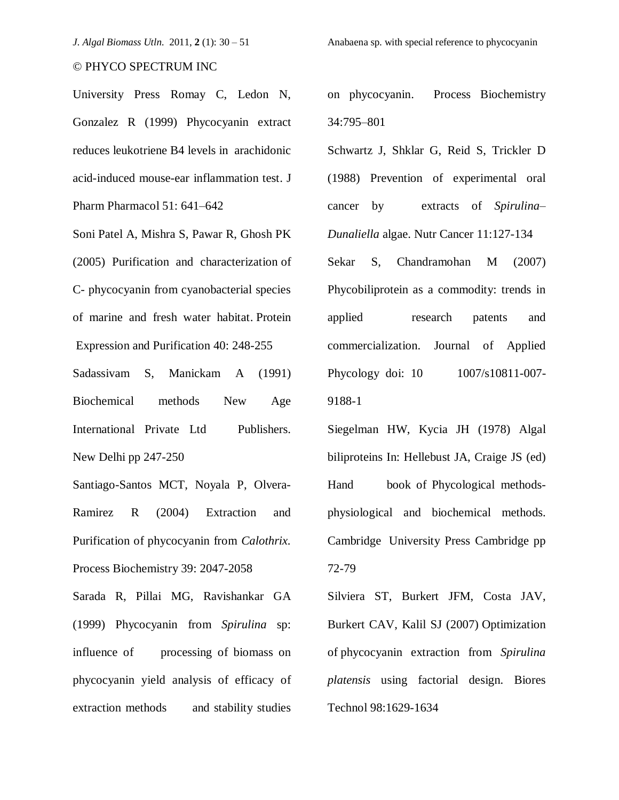University Press Romay C, Ledon N, Gonzalez R (1999) Phycocyanin extract reduces leukotriene B4 levels in arachidonic acid-induced mouse-ear inflammation test. J Pharm Pharmacol 51: 641–642

Soni Patel A, Mishra S, Pawar R, Ghosh PK (2005) Purification and characterization of C- phycocyanin from cyanobacterial species of marine and fresh water habitat. Protein Expression and Purification 40: 248-255

Sadassivam S, Manickam A (1991) Biochemical methods New Age International Private Ltd Publishers. New Delhi pp 247-250

Santiago-Santos MCT, Noyala P, Olvera-Ramirez R (2004) Extraction and Purification of phycocyanin from *Calothrix.* Process Biochemistry 39: 2047-2058

Sarada R, Pillai MG, Ravishankar GA (1999) Phycocyanin from *Spirulina* sp: influence of processing of biomass on phycocyanin yield analysis of efficacy of extraction methods and stability studies

on phycocyanin. Process Biochemistry 34:795–801

Schwartz J, Shklar G, Reid S, Trickler D (1988) Prevention of experimental oral cancer by extracts of *Spirulina*– *Dunaliella* algae. Nutr Cancer 11:127-134

Sekar S, Chandramohan M (2007) Phycobiliprotein as a commodity: trends in applied research patents and commercialization. Journal of Applied Phycology doi: 10 1007/s10811-007-9188-1

Siegelman HW, Kycia JH (1978) Algal biliproteins In: Hellebust JA, Craige JS (ed) Hand book of Phycological methodsphysiological and biochemical methods. Cambridge University Press Cambridge pp 72-79

Silviera ST, Burkert JFM, Costa JAV, Burkert CAV, Kalil SJ (2007) Optimization of phycocyanin extraction from *Spirulina platensis* using factorial design. Biores Technol 98:1629-1634